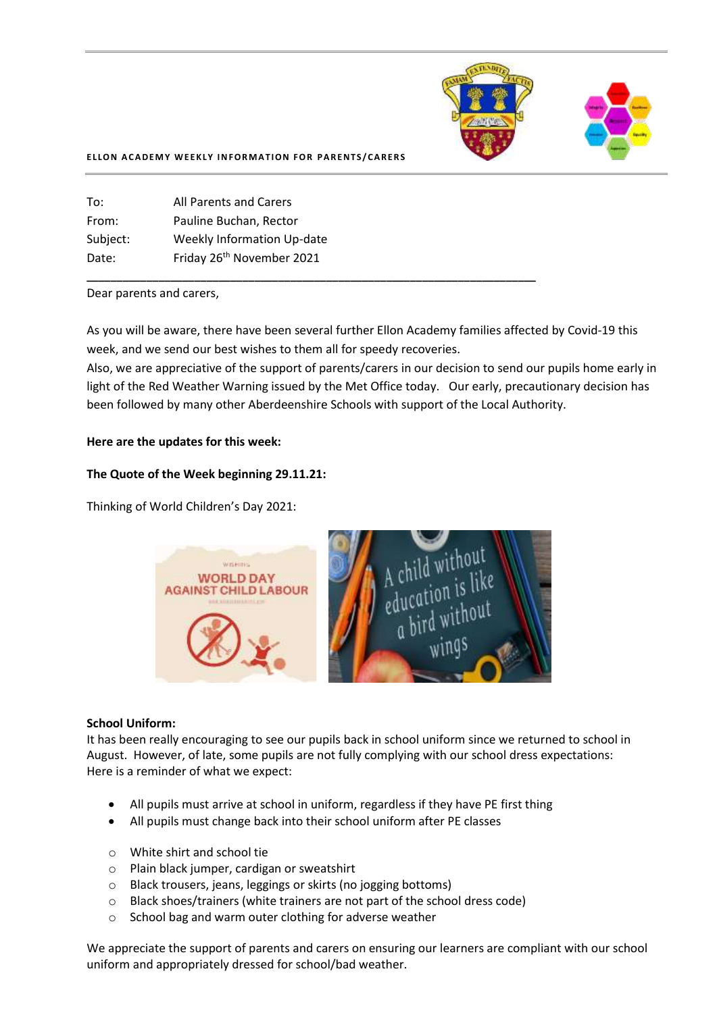

#### **ELLON ACADEMY WEEKLY INFORMATION FOR PARENTS/CARERS**

| To:      | All Parents and Carers                |
|----------|---------------------------------------|
| From:    | Pauline Buchan, Rector                |
| Subject: | <b>Weekly Information Up-date</b>     |
| Date:    | Friday 26 <sup>th</sup> November 2021 |
|          |                                       |

Dear parents and carers,

As you will be aware, there have been several further Ellon Academy families affected by Covid-19 this week, and we send our best wishes to them all for speedy recoveries.

**\_\_\_\_\_\_\_\_\_\_\_\_\_\_\_\_\_\_\_\_\_\_\_\_\_\_\_\_\_\_\_\_\_\_\_\_\_\_\_\_\_\_\_\_\_\_\_\_\_\_\_\_\_\_\_\_\_\_\_\_\_\_\_\_\_\_\_\_\_\_\_\_\_\_\_**

Also, we are appreciative of the support of parents/carers in our decision to send our pupils home early in light of the Red Weather Warning issued by the Met Office today. Our early, precautionary decision has been followed by many other Aberdeenshire Schools with support of the Local Authority.

#### **Here are the updates for this week:**

#### **The Quote of the Week beginning 29.11.21:**

Thinking of World Children's Day 2021:



#### **School Uniform:**

It has been really encouraging to see our pupils back in school uniform since we returned to school in August. However, of late, some pupils are not fully complying with our school dress expectations: Here is a reminder of what we expect:

- All pupils must arrive at school in uniform, regardless if they have PE first thing
- All pupils must change back into their school uniform after PE classes
- o White shirt and school tie
- o Plain black jumper, cardigan or sweatshirt
- o Black trousers, jeans, leggings or skirts (no jogging bottoms)
- o Black shoes/trainers (white trainers are not part of the school dress code)
- o School bag and warm outer clothing for adverse weather

We appreciate the support of parents and carers on ensuring our learners are compliant with our school uniform and appropriately dressed for school/bad weather.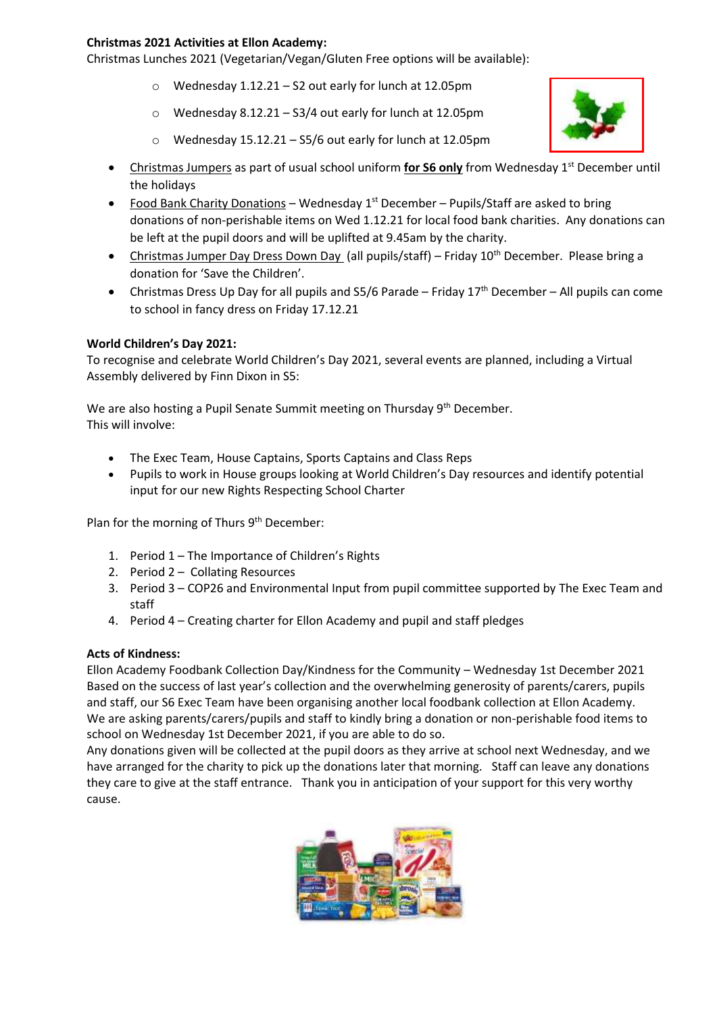## **Christmas 2021 Activities at Ellon Academy:**

Christmas Lunches 2021 (Vegetarian/Vegan/Gluten Free options will be available):

- o Wednesday 1.12.21 S2 out early for lunch at 12.05pm
- o Wednesday 8.12.21 S3/4 out early for lunch at 12.05pm
- o Wednesday 15.12.21 S5/6 out early for lunch at 12.05pm



- Christmas Jumpers as part of usual school uniform for S6 only from Wednesday 1<sup>st</sup> December until the holidays
- Food Bank Charity Donations Wednesday 1<sup>st</sup> December Pupils/Staff are asked to bring donations of non-perishable items on Wed 1.12.21 for local food bank charities. Any donations can be left at the pupil doors and will be uplifted at 9.45am by the charity.
- Christmas Jumper Day Dress Down Day (all pupils/staff) Friday 10<sup>th</sup> December. Please bring a donation for 'Save the Children'.
- Christmas Dress Up Day for all pupils and S5/6 Parade Friday 17<sup>th</sup> December All pupils can come to school in fancy dress on Friday 17.12.21

## **World Children's Day 2021:**

To recognise and celebrate World Children's Day 2021, several events are planned, including a Virtual Assembly delivered by Finn Dixon in S5:

We are also hosting a Pupil Senate Summit meeting on Thursday 9<sup>th</sup> December. This will involve:

- The Exec Team, House Captains, Sports Captains and Class Reps
- Pupils to work in House groups looking at World Children's Day resources and identify potential input for our new Rights Respecting School Charter

Plan for the morning of Thurs 9<sup>th</sup> December:

- 1. Period 1 The Importance of Children's Rights
- 2. Period 2 Collating Resources
- 3. Period 3 COP26 and Environmental Input from pupil committee supported by The Exec Team and staff
- 4. Period 4 Creating charter for Ellon Academy and pupil and staff pledges

### **Acts of Kindness:**

Ellon Academy Foodbank Collection Day/Kindness for the Community – Wednesday 1st December 2021 Based on the success of last year's collection and the overwhelming generosity of parents/carers, pupils and staff, our S6 Exec Team have been organising another local foodbank collection at Ellon Academy. We are asking parents/carers/pupils and staff to kindly bring a donation or non-perishable food items to school on Wednesday 1st December 2021, if you are able to do so.

Any donations given will be collected at the pupil doors as they arrive at school next Wednesday, and we have arranged for the charity to pick up the donations later that morning. Staff can leave any donations they care to give at the staff entrance. Thank you in anticipation of your support for this very worthy cause.

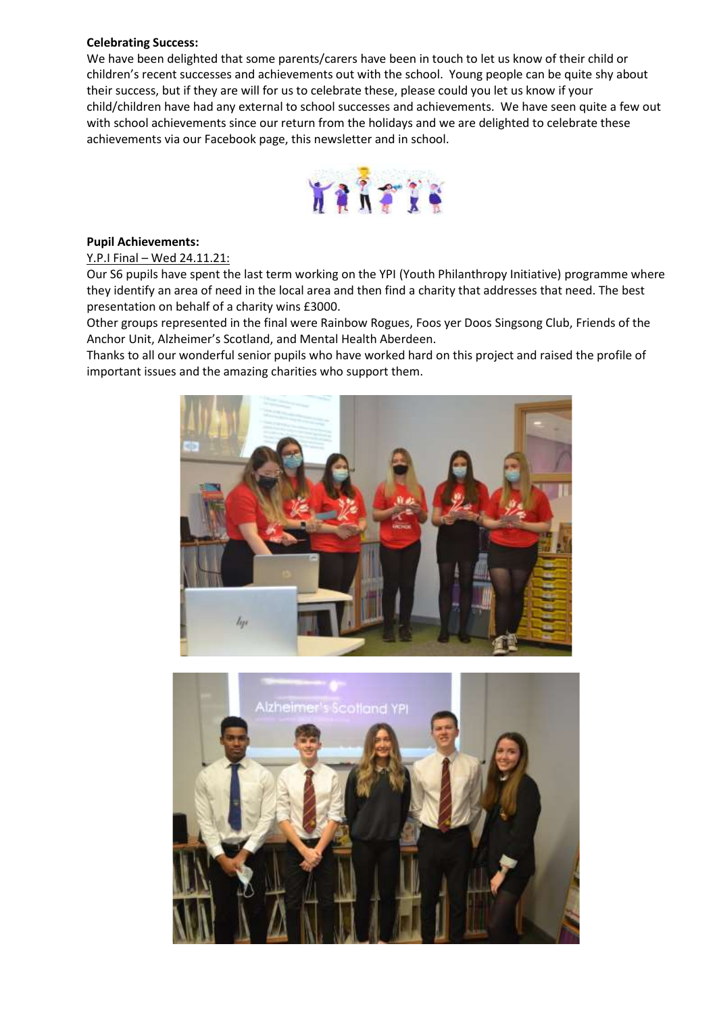### **Celebrating Success:**

We have been delighted that some parents/carers have been in touch to let us know of their child or children's recent successes and achievements out with the school. Young people can be quite shy about their success, but if they are will for us to celebrate these, please could you let us know if your child/children have had any external to school successes and achievements. We have seen quite a few out with school achievements since our return from the holidays and we are delighted to celebrate these achievements via our Facebook page, this newsletter and in school.



### **Pupil Achievements:**

Y.P.I Final – Wed 24.11.21:

Our S6 pupils have spent the last term working on the YPI (Youth Philanthropy Initiative) programme where they identify an area of need in the local area and then find a charity that addresses that need. The best presentation on behalf of a charity wins £3000.

Other groups represented in the final were Rainbow Rogues, Foos yer Doos Singsong Club, Friends of the Anchor Unit, Alzheimer's Scotland, and Mental Health Aberdeen.

Thanks to all our wonderful senior pupils who have worked hard on this project and raised the profile of important issues and the amazing charities who support them.



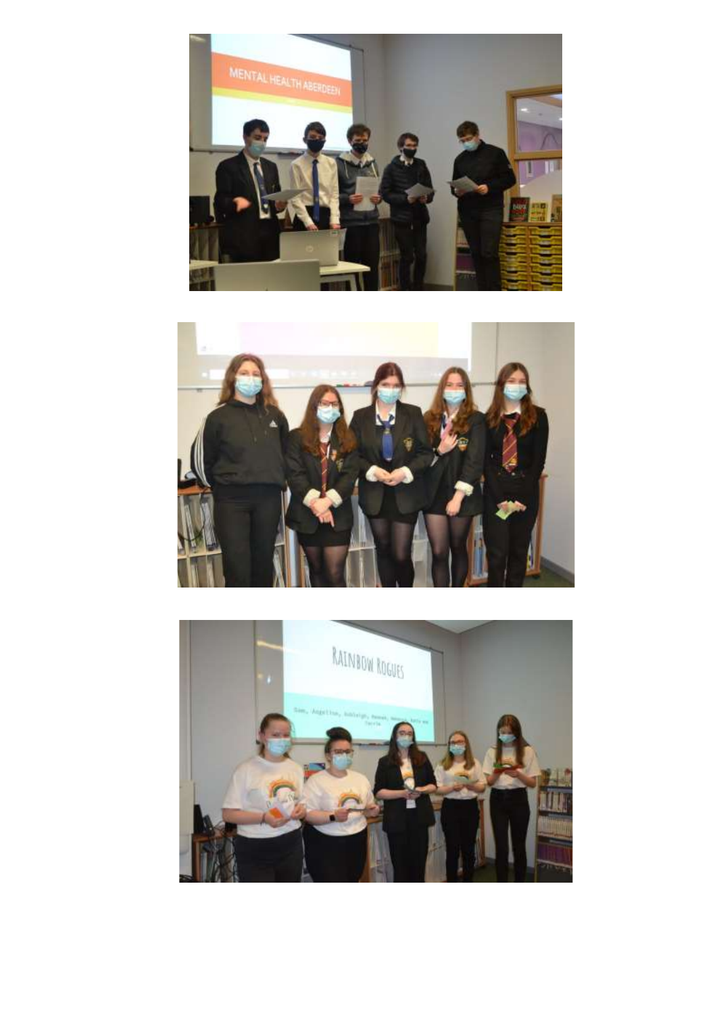



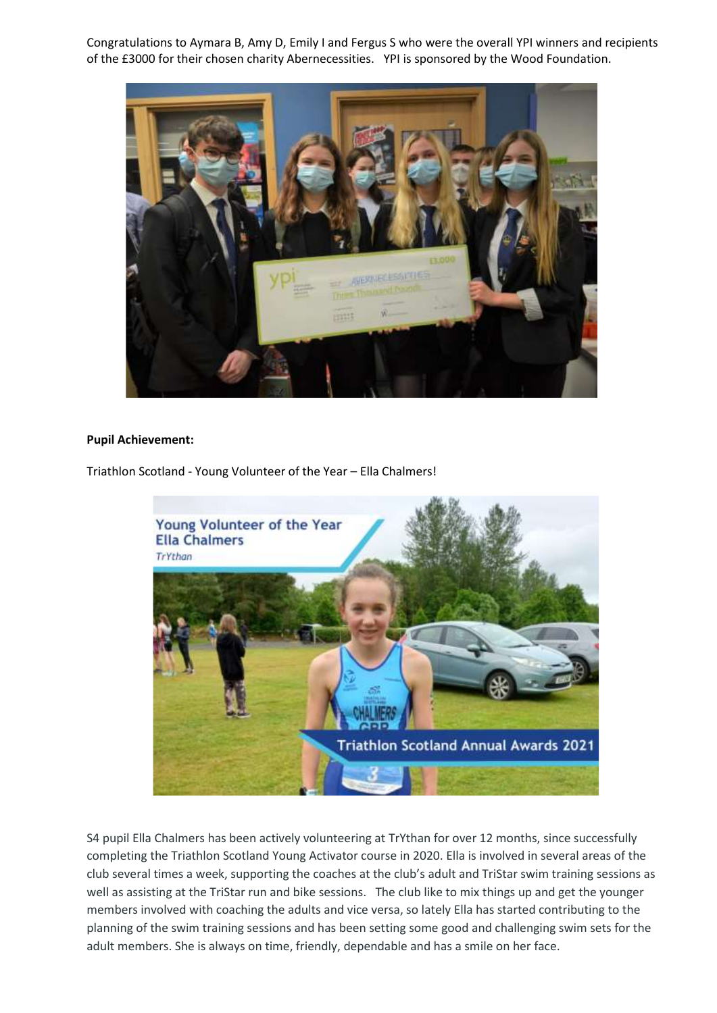Congratulations to Aymara B, Amy D, Emily I and Fergus S who were the overall YPI winners and recipients of the £3000 for their chosen charity Abernecessities. YPI is sponsored by the Wood Foundation.



#### **Pupil Achievement:**

[Triathlon](https://www.facebook.com/scottishtri/?__cft__%5b0%5d=AZVuDbqeApnkj4COka9UrirdMr5KGliDNHbOV5Err-86gFDkhJVopsSK6mdtdpO8WcR_FNvKqfqwBQ_GPDi_TUXlG_ouDD_-aHHQF48fstYy8wiCjwjoI-ugLDK2SR7KkOxQKzRkKRIUxxKR07qCaYHwzY1Z_dvMkR8_AUV3ADt1MKD2p31glZ3imo_laT036Ys7qH8YDhpOWGpfWM4Bmc0zu3BoUXCG0lx9g1LgZVdp1w&__tn__=-UC%2CP-y-R) Scotland - Young Volunteer of the Year – Ella Chalmers!



S4 pupil Ella Chalmers has been actively volunteering at TrYthan for over 12 months, since successfully completing the Triathlon Scotland Young Activator course in 2020. Ella is involved in several areas of the club several times a week, supporting the coaches at the club's adult and TriStar swim training sessions as well as assisting at the TriStar run and bike sessions. The club like to mix things up and get the younger members involved with coaching the adults and vice versa, so lately Ella has started contributing to the planning of the swim training sessions and has been setting some good and challenging swim sets for the adult members. She is always on time, friendly, dependable and has a smile on her face.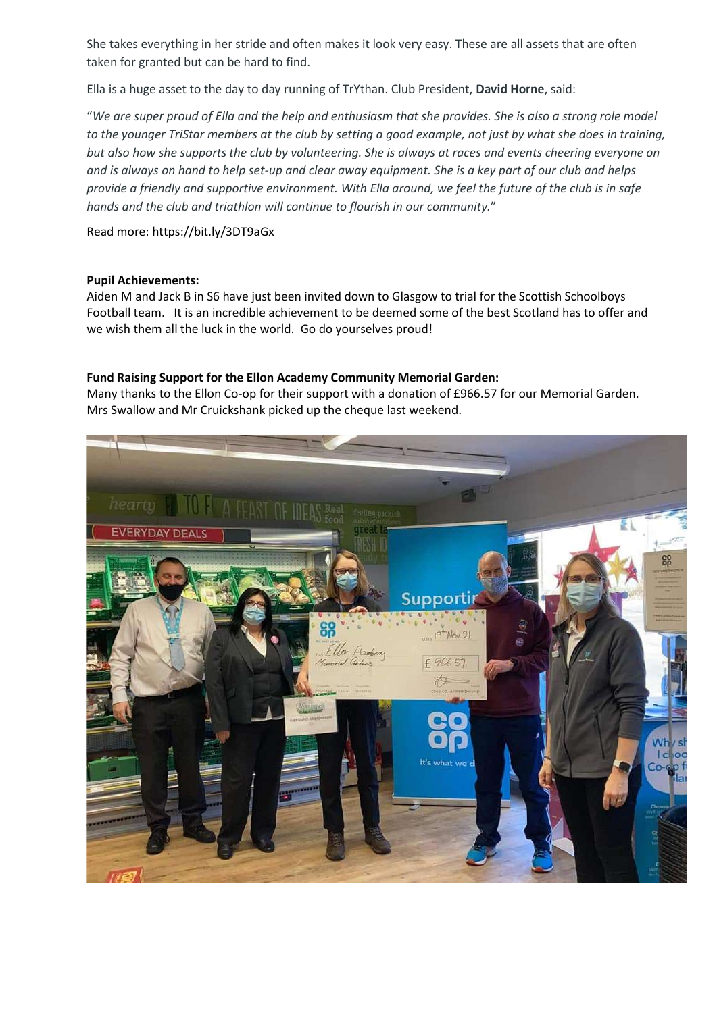She takes everything in her stride and often makes it look very easy. These are all assets that are often taken for granted but can be hard to find.

Ella is a huge asset to the day to day running of TrYthan. Club President, **David Horne**, said:

"*We are super proud of Ella and the help and enthusiasm that she provides. She is also a strong role model to the younger TriStar members at the club by setting a good example, not just by what she does in training, but also how she supports the club by volunteering. She is always at races and events cheering everyone on and is always on hand to help set-up and clear away equipment. She is a key part of our club and helps provide a friendly and supportive environment. With Ella around, we feel the future of the club is in safe hands and the club and triathlon will continue to flourish in our community.*"

Read more: [https://bit.ly/3DT9aGx](https://bit.ly/3DT9aGx?fbclid=IwAR1cP_jMAyCGCOLCz-Qy24oppveD9AuO8FNAtwybUOk8KF1xwqswUbM-F_8)

### **Pupil Achievements:**

Aiden M and Jack B in S6 have just been invited down to Glasgow to trial for the Scottish Schoolboys Football team. It is an incredible achievement to be deemed some of the best Scotland has to offer and we wish them all the luck in the world. Go do yourselves proud!

# **Fund Raising Support for the Ellon Academy Community Memorial Garden:**

Many thanks to the Ellon Co-op for their support with a donation of £966.57 for our Memorial Garden. Mrs Swallow and Mr Cruickshank picked up the cheque last weekend.

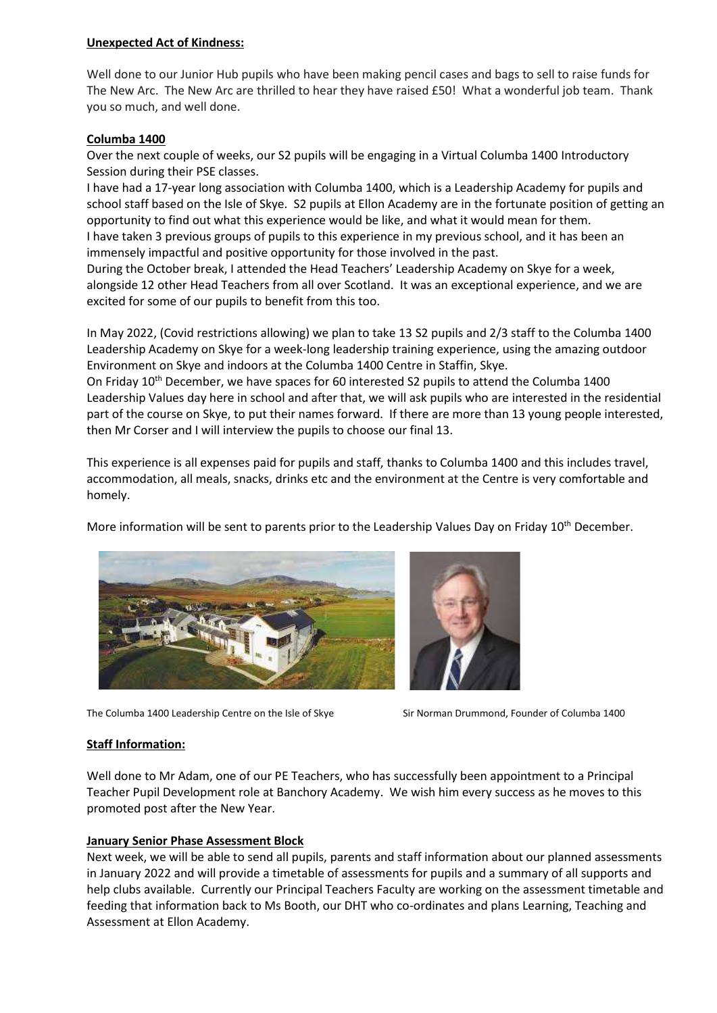### **Unexpected Act of Kindness:**

Well done to our Junior Hub pupils who have been making pencil cases and bags to sell to raise funds for The New Arc. The New Arc are thrilled to hear they have raised £50! What a wonderful job team. Thank you so much, and well done.

## **Columba 1400**

Over the next couple of weeks, our S2 pupils will be engaging in a Virtual Columba 1400 Introductory Session during their PSE classes.

I have had a 17-year long association with Columba 1400, which is a Leadership Academy for pupils and school staff based on the Isle of Skye. S2 pupils at Ellon Academy are in the fortunate position of getting an opportunity to find out what this experience would be like, and what it would mean for them. I have taken 3 previous groups of pupils to this experience in my previous school, and it has been an

immensely impactful and positive opportunity for those involved in the past.

During the October break, I attended the Head Teachers' Leadership Academy on Skye for a week, alongside 12 other Head Teachers from all over Scotland. It was an exceptional experience, and we are excited for some of our pupils to benefit from this too.

In May 2022, (Covid restrictions allowing) we plan to take 13 S2 pupils and 2/3 staff to the Columba 1400 Leadership Academy on Skye for a week-long leadership training experience, using the amazing outdoor Environment on Skye and indoors at the Columba 1400 Centre in Staffin, Skye.

On Friday  $10^{th}$  December, we have spaces for 60 interested S2 pupils to attend the Columba 1400 Leadership Values day here in school and after that, we will ask pupils who are interested in the residential part of the course on Skye, to put their names forward. If there are more than 13 young people interested, then Mr Corser and I will interview the pupils to choose our final 13.

This experience is all expenses paid for pupils and staff, thanks to Columba 1400 and this includes travel, accommodation, all meals, snacks, drinks etc and the environment at the Centre is very comfortable and homely.

More information will be sent to parents prior to the Leadership Values Day on Friday 10<sup>th</sup> December.



The Columba 1400 Leadership Centre on the Isle of Skye Sir Norman Drummond, Founder of Columba 1400



### **Staff Information:**

Well done to Mr Adam, one of our PE Teachers, who has successfully been appointment to a Principal Teacher Pupil Development role at Banchory Academy. We wish him every success as he moves to this promoted post after the New Year.

### **January Senior Phase Assessment Block**

Next week, we will be able to send all pupils, parents and staff information about our planned assessments in January 2022 and will provide a timetable of assessments for pupils and a summary of all supports and help clubs available. Currently our Principal Teachers Faculty are working on the assessment timetable and feeding that information back to Ms Booth, our DHT who co-ordinates and plans Learning, Teaching and Assessment at Ellon Academy.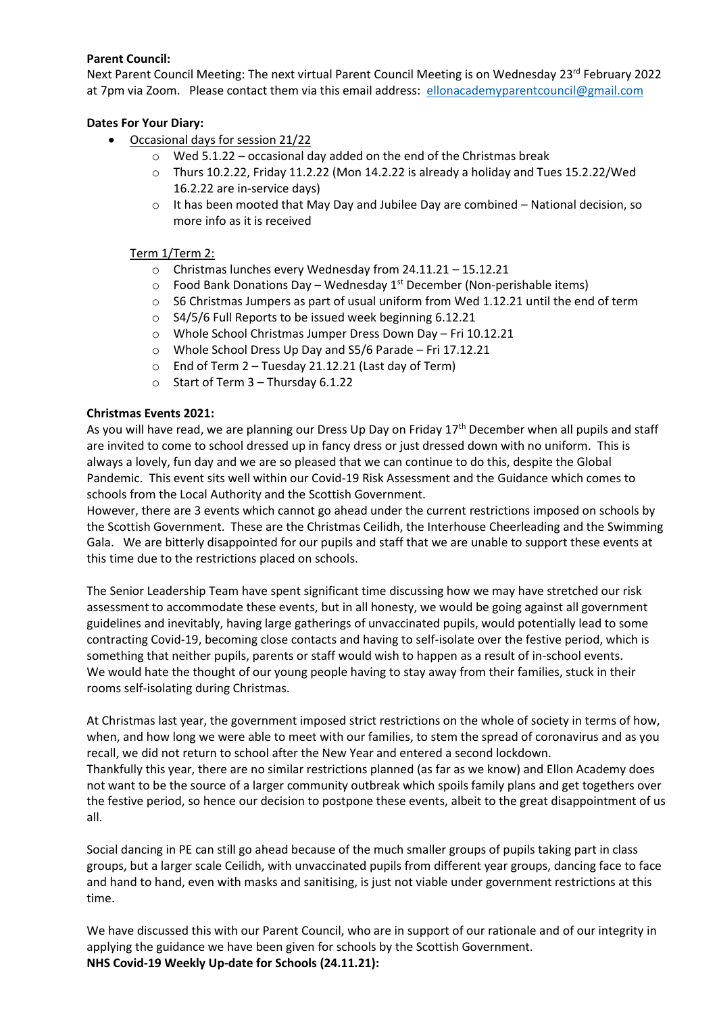## **Parent Council:**

Next Parent Council Meeting: The next virtual Parent Council Meeting is on Wednesday 23rd February 2022 at 7pm via Zoom. Please contact them via this email address: [ellonacademyparentcouncil@gmail.com](mailto:ellonacademyparentcouncil@gmail.com)

## **Dates For Your Diary:**

- Occasional days for session 21/22
	- $\circ$  Wed 5.1.22 occasional day added on the end of the Christmas break
	- o Thurs 10.2.22, Friday 11.2.22 (Mon 14.2.22 is already a holiday and Tues 15.2.22/Wed 16.2.22 are in-service days)
	- $\circ$  It has been mooted that May Day and Jubilee Day are combined National decision, so more info as it is received

## Term 1/Term 2:

- o Christmas lunches every Wednesday from 24.11.21 15.12.21
- $\circ$  Food Bank Donations Day Wednesday 1<sup>st</sup> December (Non-perishable items)
- $\circ$  S6 Christmas Jumpers as part of usual uniform from Wed 1.12.21 until the end of term
- o S4/5/6 Full Reports to be issued week beginning 6.12.21
- o Whole School Christmas Jumper Dress Down Day Fri 10.12.21
- o Whole School Dress Up Day and S5/6 Parade Fri 17.12.21
- o End of Term 2 Tuesday 21.12.21 (Last day of Term)
- o Start of Term 3 Thursday 6.1.22

## **Christmas Events 2021:**

As you will have read, we are planning our Dress Up Day on Friday 17<sup>th</sup> December when all pupils and staff are invited to come to school dressed up in fancy dress or just dressed down with no uniform. This is always a lovely, fun day and we are so pleased that we can continue to do this, despite the Global Pandemic. This event sits well within our Covid-19 Risk Assessment and the Guidance which comes to schools from the Local Authority and the Scottish Government.

However, there are 3 events which cannot go ahead under the current restrictions imposed on schools by the Scottish Government. These are the Christmas Ceilidh, the Interhouse Cheerleading and the Swimming Gala. We are bitterly disappointed for our pupils and staff that we are unable to support these events at this time due to the restrictions placed on schools.

The Senior Leadership Team have spent significant time discussing how we may have stretched our risk assessment to accommodate these events, but in all honesty, we would be going against all government guidelines and inevitably, having large gatherings of unvaccinated pupils, would potentially lead to some contracting Covid-19, becoming close contacts and having to self-isolate over the festive period, which is something that neither pupils, parents or staff would wish to happen as a result of in-school events. We would hate the thought of our young people having to stay away from their families, stuck in their rooms self-isolating during Christmas.

At Christmas last year, the government imposed strict restrictions on the whole of society in terms of how, when, and how long we were able to meet with our families, to stem the spread of coronavirus and as you recall, we did not return to school after the New Year and entered a second lockdown. Thankfully this year, there are no similar restrictions planned (as far as we know) and Ellon Academy does not want to be the source of a larger community outbreak which spoils family plans and get togethers over the festive period, so hence our decision to postpone these events, albeit to the great disappointment of us all.

Social dancing in PE can still go ahead because of the much smaller groups of pupils taking part in class groups, but a larger scale Ceilidh, with unvaccinated pupils from different year groups, dancing face to face and hand to hand, even with masks and sanitising, is just not viable under government restrictions at this time.

We have discussed this with our Parent Council, who are in support of our rationale and of our integrity in applying the guidance we have been given for schools by the Scottish Government. **NHS Covid-19 Weekly Up-date for Schools (24.11.21):**